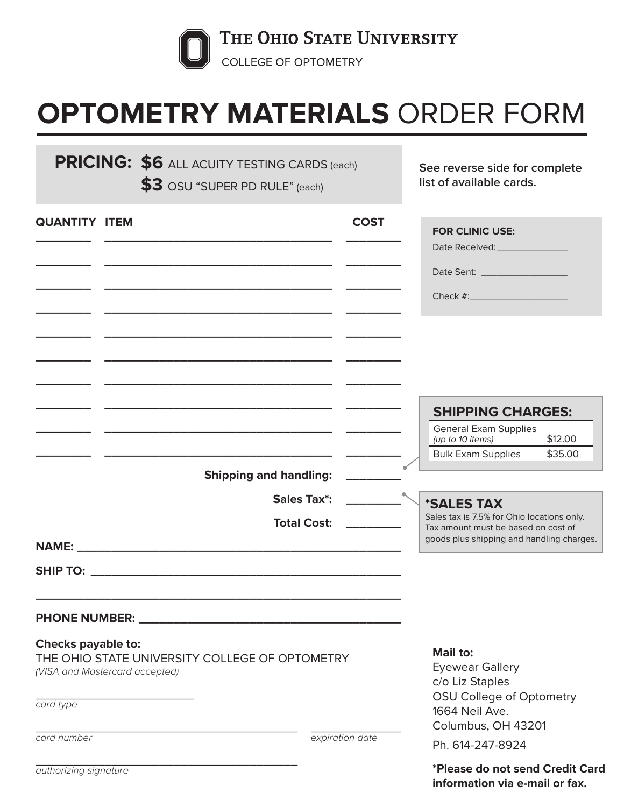

## **OPTOMETRY MATERIALS** ORDER FORM

**PRICING: \$6** ALL ACUITY TESTING CARDS (each) See reverse side for complete **\$3** OSU "SUPER PD RULE" (each)

**list of available cards.**

| <b>QUANTITY ITEM</b>                 |                                                                                                               | <b>COST</b>     | <b>FOR CLINIC USE:</b><br>Date Received: _________________<br>Date Sent: ____________________                                                              |
|--------------------------------------|---------------------------------------------------------------------------------------------------------------|-----------------|------------------------------------------------------------------------------------------------------------------------------------------------------------|
|                                      |                                                                                                               |                 | <b>SHIPPING CHARGES:</b>                                                                                                                                   |
|                                      | <b>Shipping and handling:</b>                                                                                 |                 | <b>General Exam Supplies</b><br>\$12.00<br>(up to 10 items)<br><b>Bulk Exam Supplies</b><br>\$35.00                                                        |
|                                      | <b>Sales Tax*:</b><br><b>Total Cost:</b>                                                                      |                 | <i><b>*SALES TAX</b></i><br>Sales tax is 7.5% for Ohio locations only.<br>Tax amount must be based on cost of<br>goods plus shipping and handling charges. |
|                                      | PHONE NUMBER: NAME AND A STREET AND A STREET AND A STREET AND A STREET AND A STREET AND A STREET AND A STREET |                 |                                                                                                                                                            |
| Checks payable to:<br>card type      | THE OHIO STATE UNIVERSITY COLLEGE OF OPTOMETRY<br>(VISA and Mastercard accepted)                              |                 | <b>Mail to:</b><br><b>Eyewear Gallery</b><br>c/o Liz Staples<br>OSU College of Optometry<br>1664 Neil Ave.<br>Columbus, OH 43201                           |
| card number<br>authorizing signature |                                                                                                               | expiration date | Ph. 614-247-8924<br>*Please do not send Credit Card<br>information via e-mail or fax.                                                                      |